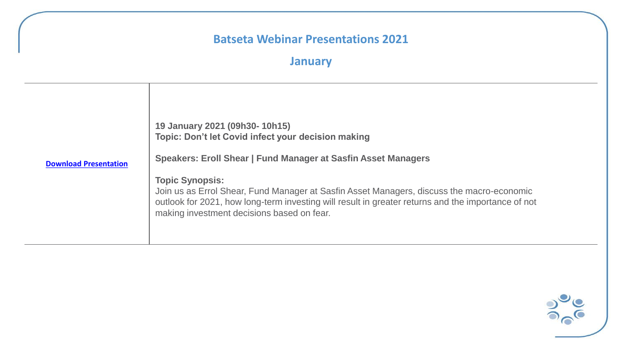## **January**

| <b>Download Presentation</b> | 19 January 2021 (09h30-10h15)<br>Topic: Don't let Covid infect your decision making<br>Speakers: Eroll Shear   Fund Manager at Sasfin Asset Managers<br><b>Topic Synopsis:</b><br>Join us as Errol Shear, Fund Manager at Sasfin Asset Managers, discuss the macro-economic |
|------------------------------|-----------------------------------------------------------------------------------------------------------------------------------------------------------------------------------------------------------------------------------------------------------------------------|
|                              | outlook for 2021, how long-term investing will result in greater returns and the importance of not<br>making investment decisions based on fear.                                                                                                                            |

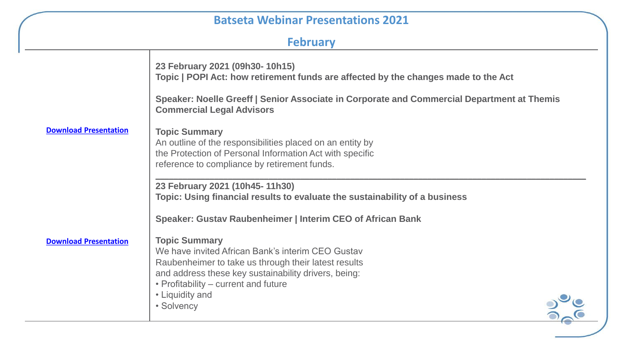# **February**

|                              | 23 February 2021 (09h30-10h15)<br>Topic   POPI Act: how retirement funds are affected by the changes made to the Act                                                                                                                                               |
|------------------------------|--------------------------------------------------------------------------------------------------------------------------------------------------------------------------------------------------------------------------------------------------------------------|
|                              | Speaker: Noelle Greeff   Senior Associate in Corporate and Commercial Department at Themis<br><b>Commercial Legal Advisors</b>                                                                                                                                     |
| <b>Download Presentation</b> | <b>Topic Summary</b><br>An outline of the responsibilities placed on an entity by<br>the Protection of Personal Information Act with specific<br>reference to compliance by retirement funds.                                                                      |
|                              | 23 February 2021 (10h45-11h30)<br>Topic: Using financial results to evaluate the sustainability of a business                                                                                                                                                      |
|                              | Speaker: Gustav Raubenheimer   Interim CEO of African Bank                                                                                                                                                                                                         |
| <b>Download Presentation</b> | <b>Topic Summary</b><br>We have invited African Bank's interim CEO Gustav<br>Raubenheimer to take us through their latest results<br>and address these key sustainability drivers, being:<br>• Profitability – current and future<br>• Liquidity and<br>• Solvency |
|                              |                                                                                                                                                                                                                                                                    |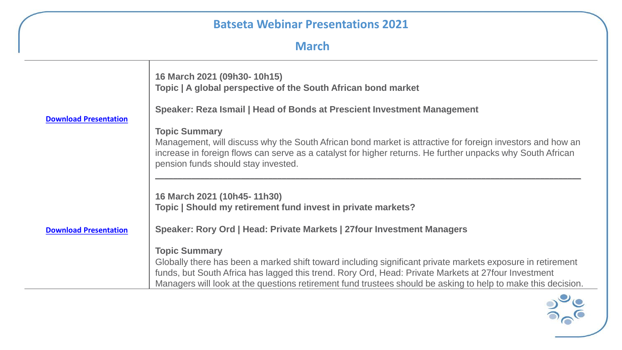**March**

|                              | 16 March 2021 (09h30-10h15)<br>Topic   A global perspective of the South African bond market                                                                                                                                                                   |
|------------------------------|----------------------------------------------------------------------------------------------------------------------------------------------------------------------------------------------------------------------------------------------------------------|
|                              | Speaker: Reza Ismail   Head of Bonds at Prescient Investment Management                                                                                                                                                                                        |
| <b>Download Presentation</b> | <b>Topic Summary</b>                                                                                                                                                                                                                                           |
|                              | Management, will discuss why the South African bond market is attractive for foreign investors and how an<br>increase in foreign flows can serve as a catalyst for higher returns. He further unpacks why South African<br>pension funds should stay invested. |
|                              | 16 March 2021 (10h45-11h30)<br>Topic   Should my retirement fund invest in private markets?                                                                                                                                                                    |
|                              |                                                                                                                                                                                                                                                                |
| <b>Download Presentation</b> | Speaker: Rory Ord   Head: Private Markets   27 four Investment Managers                                                                                                                                                                                        |
|                              | <b>Topic Summary</b>                                                                                                                                                                                                                                           |
|                              | Globally there has been a marked shift toward including significant private markets exposure in retirement                                                                                                                                                     |
|                              | funds, but South Africa has lagged this trend. Rory Ord, Head: Private Markets at 27four Investment<br>Managers will look at the questions retirement fund trustees should be asking to help to make this decision.                                            |
|                              |                                                                                                                                                                                                                                                                |

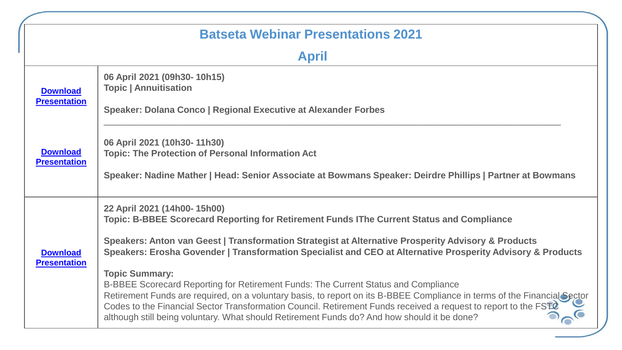|                                        | <b>Batseta Webinar Presentations 2021</b>                                                                                                                                                                                                                                                                                                                                                                                                                                                                                                                                                                                                                                                                                                                                                                   |
|----------------------------------------|-------------------------------------------------------------------------------------------------------------------------------------------------------------------------------------------------------------------------------------------------------------------------------------------------------------------------------------------------------------------------------------------------------------------------------------------------------------------------------------------------------------------------------------------------------------------------------------------------------------------------------------------------------------------------------------------------------------------------------------------------------------------------------------------------------------|
|                                        | <b>April</b>                                                                                                                                                                                                                                                                                                                                                                                                                                                                                                                                                                                                                                                                                                                                                                                                |
| <b>Download</b><br><b>Presentation</b> | 06 April 2021 (09h30-10h15)<br><b>Topic   Annuitisation</b><br>Speaker: Dolana Conco   Regional Executive at Alexander Forbes                                                                                                                                                                                                                                                                                                                                                                                                                                                                                                                                                                                                                                                                               |
| <b>Download</b><br><b>Presentation</b> | 06 April 2021 (10h30-11h30)<br><b>Topic: The Protection of Personal Information Act</b><br>Speaker: Nadine Mather   Head: Senior Associate at Bowmans Speaker: Deirdre Phillips   Partner at Bowmans                                                                                                                                                                                                                                                                                                                                                                                                                                                                                                                                                                                                        |
| <b>Download</b><br><b>Presentation</b> | 22 April 2021 (14h00-15h00)<br>Topic: B-BBEE Scorecard Reporting for Retirement Funds IThe Current Status and Compliance<br>Speakers: Anton van Geest   Transformation Strategist at Alternative Prosperity Advisory & Products<br>Speakers: Erosha Govender   Transformation Specialist and CEO at Alternative Prosperity Advisory & Products<br><b>Topic Summary:</b><br>B-BBEE Scorecard Reporting for Retirement Funds: The Current Status and Compliance<br>Retirement Funds are required, on a voluntary basis, to report on its B-BBEE Compliance in terms of the Financial Sector<br>Codes to the Financial Sector Transformation Council. Retirement Funds received a request to report to the FSTC<br>although still being voluntary. What should Retirement Funds do? And how should it be done? |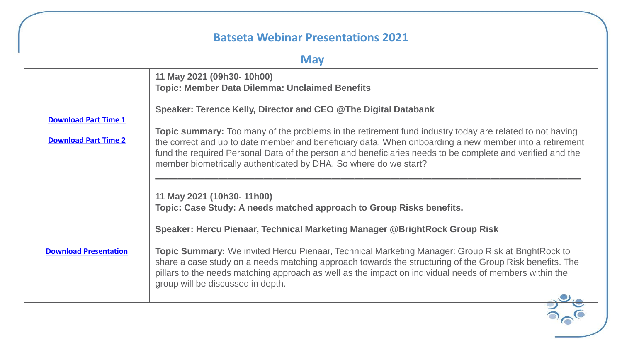## **May**

| 11 May 2021 (09h30-10h00)<br><b>Topic: Member Data Dilemma: Unclaimed Benefits</b>                                                                                                                                                                                                                                                                                                                        |
|-----------------------------------------------------------------------------------------------------------------------------------------------------------------------------------------------------------------------------------------------------------------------------------------------------------------------------------------------------------------------------------------------------------|
| Speaker: Terence Kelly, Director and CEO @The Digital Databank                                                                                                                                                                                                                                                                                                                                            |
| <b>Topic summary:</b> Too many of the problems in the retirement fund industry today are related to not having<br>the correct and up to date member and beneficiary data. When onboarding a new member into a retirement<br>fund the required Personal Data of the person and beneficiaries needs to be complete and verified and the<br>member biometrically authenticated by DHA. So where do we start? |
| 11 May 2021 (10h30-11h00)<br>Topic: Case Study: A needs matched approach to Group Risks benefits.<br>Speaker: Hercu Pienaar, Technical Marketing Manager @BrightRock Group Risk                                                                                                                                                                                                                           |
| <b>Topic Summary:</b> We invited Hercu Pienaar, Technical Marketing Manager: Group Risk at BrightRock to<br>share a case study on a needs matching approach towards the structuring of the Group Risk benefits. The<br>pillars to the needs matching approach as well as the impact on individual needs of members within the<br>group will be discussed in depth.                                        |
|                                                                                                                                                                                                                                                                                                                                                                                                           |

 $\frac{1}{2}$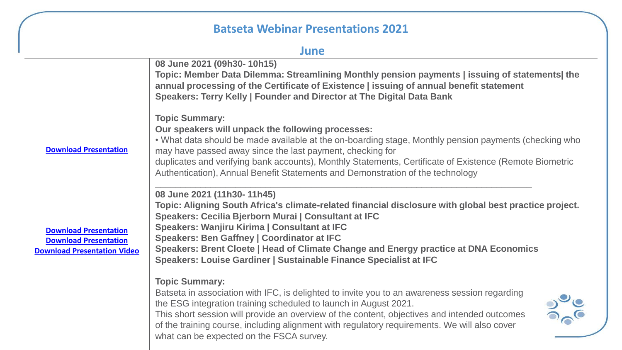#### **June**

|                                                                                                    | 08 June 2021 (09h30-10h15)<br>Topic: Member Data Dilemma: Streamlining Monthly pension payments   issuing of statements  the<br>annual processing of the Certificate of Existence   issuing of annual benefit statement<br>Speakers: Terry Kelly   Founder and Director at The Digital Data Bank                                                                                                                                                               |
|----------------------------------------------------------------------------------------------------|----------------------------------------------------------------------------------------------------------------------------------------------------------------------------------------------------------------------------------------------------------------------------------------------------------------------------------------------------------------------------------------------------------------------------------------------------------------|
| <b>Download Presentation</b>                                                                       | <b>Topic Summary:</b><br>Our speakers will unpack the following processes:<br>. What data should be made available at the on-boarding stage, Monthly pension payments (checking who<br>may have passed away since the last payment, checking for<br>duplicates and verifying bank accounts), Monthly Statements, Certificate of Existence (Remote Biometric<br>Authentication), Annual Benefit Statements and Demonstration of the technology                  |
| <b>Download Presentation</b><br><b>Download Presentation</b><br><b>Download Presentation Video</b> | 08 June 2021 (11h30-11h45)<br>Topic: Aligning South Africa's climate-related financial disclosure with global best practice project.<br>Speakers: Cecilia Bjerborn Murai   Consultant at IFC<br>Speakers: Wanjiru Kirima   Consultant at IFC<br><b>Speakers: Ben Gaffney   Coordinator at IFC</b><br>Speakers: Brent Cloete   Head of Climate Change and Energy practice at DNA Economics<br>Speakers: Louise Gardiner   Sustainable Finance Specialist at IFC |
|                                                                                                    | <b>Topic Summary:</b><br>Batseta in association with IFC, is delighted to invite you to an awareness session regarding<br>the ESG integration training scheduled to launch in August 2021.<br>This short session will provide an overview of the content, objectives and intended outcomes<br>of the training course, including alignment with regulatory requirements. We will also cover<br>what can be expected on the FSCA survey.                         |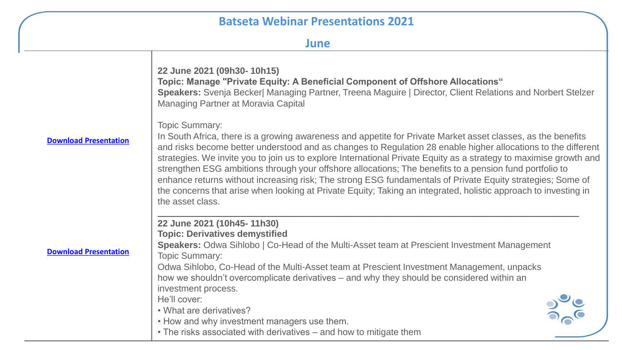| ٠ | ۹. | . .<br>٠. |
|---|----|-----------|
|   |    |           |

|                              | 22 June 2021 (09h30-10h15)<br>Topic: Manage "Private Equity: A Beneficial Component of Offshore Allocations"<br>Speakers: Svenja Becker  Managing Partner, Treena Maguire   Director, Client Relations and Norbert Stelzer<br>Managing Partner at Moravia Capital                                                                                                                                                                                                                                                                                                                                                                                                                                                                           |
|------------------------------|---------------------------------------------------------------------------------------------------------------------------------------------------------------------------------------------------------------------------------------------------------------------------------------------------------------------------------------------------------------------------------------------------------------------------------------------------------------------------------------------------------------------------------------------------------------------------------------------------------------------------------------------------------------------------------------------------------------------------------------------|
| <b>Download Presentation</b> | <b>Topic Summary:</b><br>In South Africa, there is a growing awareness and appetite for Private Market asset classes, as the benefits<br>and risks become better understood and as changes to Regulation 28 enable higher allocations to the different<br>strategies. We invite you to join us to explore International Private Equity as a strategy to maximise growth and<br>strengthen ESG ambitions through your offshore allocations; The benefits to a pension fund portfolio to<br>enhance returns without increasing risk; The strong ESG fundamentals of Private Equity strategies; Some of<br>the concerns that arise when looking at Private Equity; Taking an integrated, holistic approach to investing in<br>the asset class. |
| <b>Download Presentation</b> | 22 June 2021 (10h45-11h30)<br><b>Topic: Derivatives demystified</b><br>Speakers: Odwa Sihlobo   Co-Head of the Multi-Asset team at Prescient Investment Management<br><b>Topic Summary:</b><br>Odwa Sihlobo, Co-Head of the Multi-Asset team at Prescient Investment Management, unpacks<br>how we shouldn't overcomplicate derivatives – and why they should be considered within an<br>investment process.<br>He'll cover:<br>• What are derivatives?<br>• How and why investment managers use them.                                                                                                                                                                                                                                      |
|                              | • The risks associated with derivatives – and how to mitigate them                                                                                                                                                                                                                                                                                                                                                                                                                                                                                                                                                                                                                                                                          |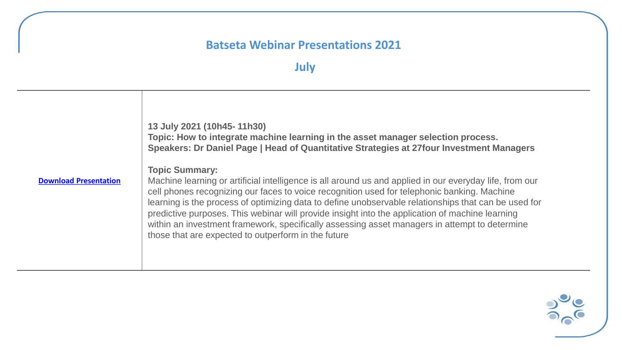# **July**

|                              | 13 July 2021 (10h45-11h30)<br>Topic: How to integrate machine learning in the asset manager selection process.<br>Speakers: Dr Daniel Page   Head of Quantitative Strategies at 27 four Investment Managers                                                                                                                                                                                                                                                                                                                                                                                        |
|------------------------------|----------------------------------------------------------------------------------------------------------------------------------------------------------------------------------------------------------------------------------------------------------------------------------------------------------------------------------------------------------------------------------------------------------------------------------------------------------------------------------------------------------------------------------------------------------------------------------------------------|
| <b>Download Presentation</b> | <b>Topic Summary:</b><br>Machine learning or artificial intelligence is all around us and applied in our everyday life, from our<br>cell phones recognizing our faces to voice recognition used for telephonic banking. Machine<br>learning is the process of optimizing data to define unobservable relationships that can be used for<br>predictive purposes. This webinar will provide insight into the application of machine learning<br>within an investment framework, specifically assessing asset managers in attempt to determine<br>those that are expected to outperform in the future |

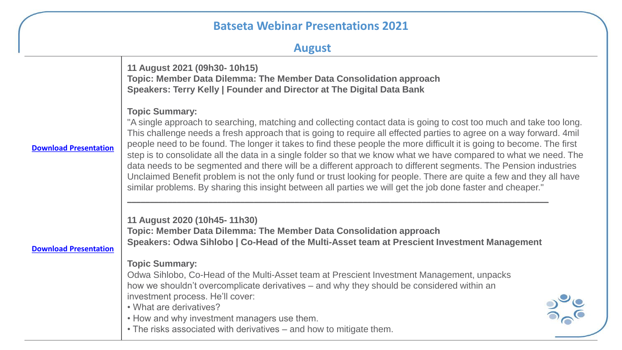| <b>August</b> |  |  |  |  |  |
|---------------|--|--|--|--|--|
|---------------|--|--|--|--|--|

**[Download Presentation](https://0e1cb70d-72e0-4c2c-bf8b-b449f072b6a7.usrfiles.com/ugd/0e1cb7_dddf2141e9684a538dd2e4382265848a.pdf) [Download Presentation](https://0e1cb70d-72e0-4c2c-bf8b-b449f072b6a7.usrfiles.com/ugd/0e1cb7_51c728f687cc4357ace54012cacfcf04.pdf) 11 August 2021 (09h30- 10h15) Topic: Member Data Dilemma: The Member Data Consolidation approach Speakers: Terry Kelly | Founder and Director at The Digital Data Bank Topic Summary:** "A single approach to searching, matching and collecting contact data is going to cost too much and take too long. This challenge needs a fresh approach that is going to require all effected parties to agree on a way forward. 4mil people need to be found. The longer it takes to find these people the more difficult it is going to become. The first step is to consolidate all the data in a single folder so that we know what we have compared to what we need. The data needs to be segmented and there will be a different approach to different segments. The Pension industries Unclaimed Benefit problem is not the only fund or trust looking for people. There are quite a few and they all have similar problems. By sharing this insight between all parties we will get the job done faster and cheaper." **\_\_\_\_\_\_\_\_\_\_\_\_\_\_\_\_\_\_\_\_\_\_\_\_\_\_\_\_\_\_\_\_\_\_\_\_\_\_\_\_\_\_\_\_\_\_\_\_\_\_\_\_\_\_\_\_\_\_\_\_\_\_\_\_\_\_\_\_\_\_\_\_\_\_\_\_\_\_\_\_\_\_\_\_\_\_\_\_\_\_\_\_\_ 11 August 2020 (10h45- 11h30) Topic: Member Data Dilemma: The Member Data Consolidation approach Speakers: Odwa Sihlobo | Co-Head of the Multi-Asset team at Prescient Investment Management Topic Summary:** Odwa Sihlobo, Co-Head of the Multi-Asset team at Prescient Investment Management, unpacks how we shouldn't overcomplicate derivatives – and why they should be considered within an investment process. He'll cover: • What are derivatives? • How and why investment managers use them. • The risks associated with derivatives – and how to mitigate them.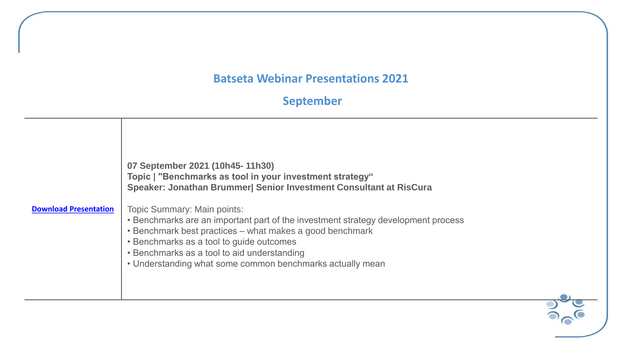# **September**

| <b>Download Presentation</b> | 07 September 2021 (10h45-11h30)<br>Topic   "Benchmarks as tool in your investment strategy"<br>Speaker: Jonathan Brummer  Senior Investment Consultant at RisCura<br><b>Topic Summary: Main points:</b><br>• Benchmarks are an important part of the investment strategy development process<br>• Benchmark best practices – what makes a good benchmark<br>• Benchmarks as a tool to guide outcomes<br>• Benchmarks as a tool to aid understanding<br>• Understanding what some common benchmarks actually mean |  |
|------------------------------|------------------------------------------------------------------------------------------------------------------------------------------------------------------------------------------------------------------------------------------------------------------------------------------------------------------------------------------------------------------------------------------------------------------------------------------------------------------------------------------------------------------|--|
|                              |                                                                                                                                                                                                                                                                                                                                                                                                                                                                                                                  |  |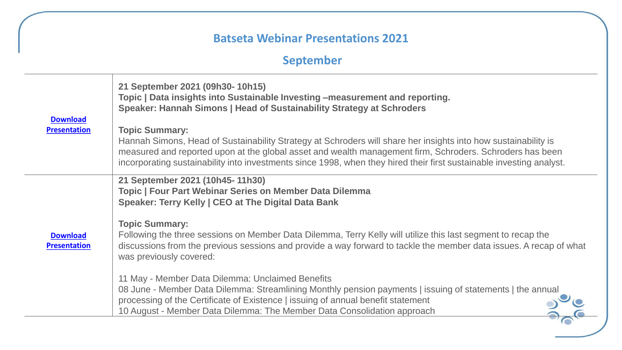# **September**

| <b>Download</b><br><b>Presentation</b> | 21 September 2021 (09h30-10h15)<br>Topic   Data insights into Sustainable Investing -measurement and reporting.<br>Speaker: Hannah Simons   Head of Sustainability Strategy at Schroders<br><b>Topic Summary:</b><br>Hannah Simons, Head of Sustainability Strategy at Schroders will share her insights into how sustainability is<br>measured and reported upon at the global asset and wealth management firm, Schroders. Schroders has been<br>incorporating sustainability into investments since 1998, when they hired their first sustainable investing analyst.                                                                                                                                                                                                            |
|----------------------------------------|------------------------------------------------------------------------------------------------------------------------------------------------------------------------------------------------------------------------------------------------------------------------------------------------------------------------------------------------------------------------------------------------------------------------------------------------------------------------------------------------------------------------------------------------------------------------------------------------------------------------------------------------------------------------------------------------------------------------------------------------------------------------------------|
| <b>Download</b><br><b>Presentation</b> | 21 September 2021 (10h45-11h30)<br><b>Topic   Four Part Webinar Series on Member Data Dilemma</b><br>Speaker: Terry Kelly   CEO at The Digital Data Bank<br><b>Topic Summary:</b><br>Following the three sessions on Member Data Dilemma, Terry Kelly will utilize this last segment to recap the<br>discussions from the previous sessions and provide a way forward to tackle the member data issues. A recap of what<br>was previously covered:<br>11 May - Member Data Dilemma: Unclaimed Benefits<br>08 June - Member Data Dilemma: Streamlining Monthly pension payments   issuing of statements   the annual<br>processing of the Certificate of Existence   issuing of annual benefit statement<br>10 August - Member Data Dilemma: The Member Data Consolidation approach |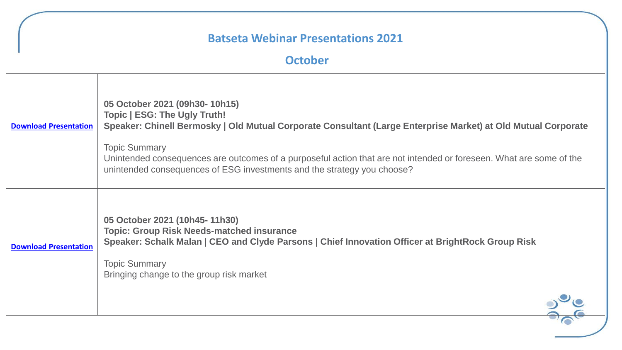#### **October**

| <b>Download Presentation</b> | 05 October 2021 (09h30-10h15)<br><b>Topic   ESG: The Ugly Truth!</b><br>Speaker: Chinell Bermosky   Old Mutual Corporate Consultant (Large Enterprise Market) at Old Mutual Corporate<br><b>Topic Summary</b><br>Unintended consequences are outcomes of a purposeful action that are not intended or foreseen. What are some of the<br>unintended consequences of ESG investments and the strategy you choose? |
|------------------------------|-----------------------------------------------------------------------------------------------------------------------------------------------------------------------------------------------------------------------------------------------------------------------------------------------------------------------------------------------------------------------------------------------------------------|
| <b>Download Presentation</b> | 05 October 2021 (10h45-11h30)<br><b>Topic: Group Risk Needs-matched insurance</b><br>Speaker: Schalk Malan   CEO and Clyde Parsons   Chief Innovation Officer at BrightRock Group Risk<br><b>Topic Summary</b><br>Bringing change to the group risk market                                                                                                                                                      |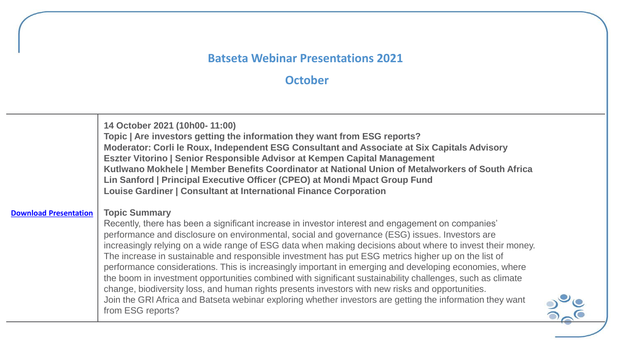# **October**

|                              | 14 October 2021 (10h00-11:00)<br>Topic   Are investors getting the information they want from ESG reports?<br>Moderator: Corli le Roux, Independent ESG Consultant and Associate at Six Capitals Advisory<br>Eszter Vitorino   Senior Responsible Advisor at Kempen Capital Management<br>Kutlwano Mokhele   Member Benefits Coordinator at National Union of Metalworkers of South Africa<br>Lin Sanford   Principal Executive Officer (CPEO) at Mondi Mpact Group Fund<br>Louise Gardiner   Consultant at International Finance Corporation                                                                                                                                                                                                                                                                                                                                                                |  |
|------------------------------|--------------------------------------------------------------------------------------------------------------------------------------------------------------------------------------------------------------------------------------------------------------------------------------------------------------------------------------------------------------------------------------------------------------------------------------------------------------------------------------------------------------------------------------------------------------------------------------------------------------------------------------------------------------------------------------------------------------------------------------------------------------------------------------------------------------------------------------------------------------------------------------------------------------|--|
| <b>Download Presentation</b> | <b>Topic Summary</b><br>Recently, there has been a significant increase in investor interest and engagement on companies'<br>performance and disclosure on environmental, social and governance (ESG) issues. Investors are<br>increasingly relying on a wide range of ESG data when making decisions about where to invest their money.<br>The increase in sustainable and responsible investment has put ESG metrics higher up on the list of<br>performance considerations. This is increasingly important in emerging and developing economies, where<br>the boom in investment opportunities combined with significant sustainability challenges, such as climate<br>change, biodiversity loss, and human rights presents investors with new risks and opportunities.<br>Join the GRI Africa and Batseta webinar exploring whether investors are getting the information they want<br>from ESG reports? |  |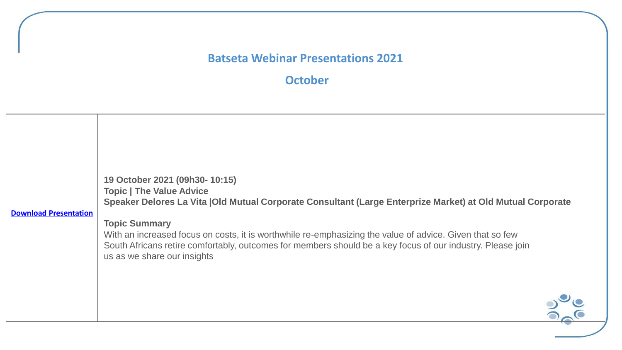**October**

| <b>Download Presentation</b> | 19 October 2021 (09h30-10:15)<br><b>Topic   The Value Advice</b><br>Speaker Delores La Vita   Old Mutual Corporate Consultant (Large Enterprize Market) at Old Mutual Corporate<br><b>Topic Summary</b><br>With an increased focus on costs, it is worthwhile re-emphasizing the value of advice. Given that so few<br>South Africans retire comfortably, outcomes for members should be a key focus of our industry. Please join<br>us as we share our insights |
|------------------------------|------------------------------------------------------------------------------------------------------------------------------------------------------------------------------------------------------------------------------------------------------------------------------------------------------------------------------------------------------------------------------------------------------------------------------------------------------------------|
|                              |                                                                                                                                                                                                                                                                                                                                                                                                                                                                  |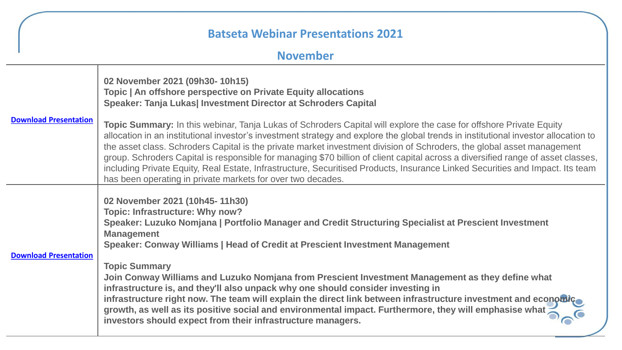#### **November**

| <b>Download Presentation</b> | 02 November 2021 (09h30-10h15)<br>Topic   An offshore perspective on Private Equity allocations<br>Speaker: Tanja Lukas  Investment Director at Schroders Capital                                                                                                                                                                                                                                                                                                                                                                                                                                                                                                                                                                                                                                |
|------------------------------|--------------------------------------------------------------------------------------------------------------------------------------------------------------------------------------------------------------------------------------------------------------------------------------------------------------------------------------------------------------------------------------------------------------------------------------------------------------------------------------------------------------------------------------------------------------------------------------------------------------------------------------------------------------------------------------------------------------------------------------------------------------------------------------------------|
|                              | Topic Summary: In this webinar, Tanja Lukas of Schroders Capital will explore the case for offshore Private Equity<br>allocation in an institutional investor's investment strategy and explore the global trends in institutional investor allocation to<br>the asset class. Schroders Capital is the private market investment division of Schroders, the global asset management<br>group. Schroders Capital is responsible for managing \$70 billion of client capital across a diversified range of asset classes,<br>including Private Equity, Real Estate, Infrastructure, Securitised Products, Insurance Linked Securities and Impact. Its team<br>has been operating in private markets for over two decades.                                                                          |
| <b>Download Presentation</b> | 02 November 2021 (10h45-11h30)<br><b>Topic: Infrastructure: Why now?</b><br>Speaker: Luzuko Nomjana   Portfolio Manager and Credit Structuring Specialist at Prescient Investment<br><b>Management</b><br>Speaker: Conway Williams   Head of Credit at Prescient Investment Management<br><b>Topic Summary</b><br>Join Conway Williams and Luzuko Nomjana from Prescient Investment Management as they define what<br>infrastructure is, and they'll also unpack why one should consider investing in<br>infrastructure right now. The team will explain the direct link between infrastructure investment and economic<br>growth, as well as its positive social and environmental impact. Furthermore, they will emphasise what<br>investors should expect from their infrastructure managers. |